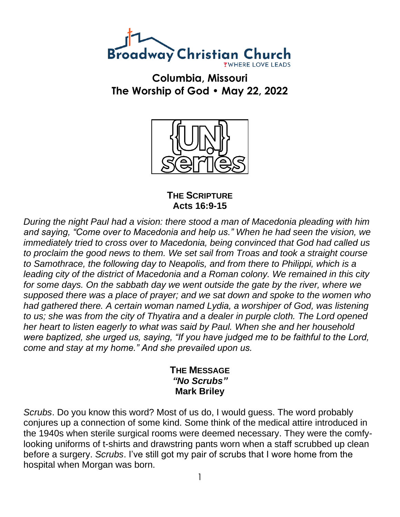

**Columbia, Missouri The Worship of God • May 22, 2022**



**THE SCRIPTURE Acts 16:9-15**

*During the night Paul had a vision: there stood a man of Macedonia pleading with him and saying, "Come over to Macedonia and help us." When he had seen the vision, we immediately tried to cross over to Macedonia, being convinced that God had called us to proclaim the good news to them. We set sail from Troas and took a straight course to Samothrace, the following day to Neapolis, and from there to Philippi, which is a leading city of the district of Macedonia and a Roman colony. We remained in this city for some days. On the sabbath day we went outside the gate by the river, where we supposed there was a place of prayer; and we sat down and spoke to the women who had gathered there. A certain woman named Lydia, a worshiper of God, was listening to us; she was from the city of Thyatira and a dealer in purple cloth. The Lord opened her heart to listen eagerly to what was said by Paul. When she and her household were baptized, she urged us, saying, "If you have judged me to be faithful to the Lord, come and stay at my home." And she prevailed upon us.*

## **THE MESSAGE** *"No Scrubs"* **Mark Briley**

*Scrubs*. Do you know this word? Most of us do, I would guess. The word probably conjures up a connection of some kind. Some think of the medical attire introduced in the 1940s when sterile surgical rooms were deemed necessary. They were the comfylooking uniforms of t-shirts and drawstring pants worn when a staff scrubbed up clean before a surgery. *Scrubs*. I've still got my pair of scrubs that I wore home from the hospital when Morgan was born.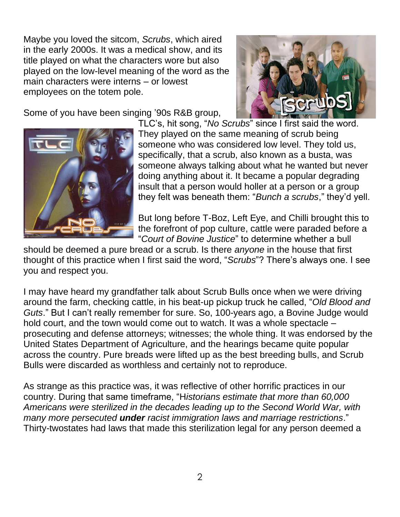Maybe you loved the sitcom, *Scrubs*, which aired in the early 2000s. It was a medical show, and its title played on what the characters wore but also played on the low-level meaning of the word as the main characters were interns – or lowest employees on the totem pole.

Some of you have been singing '90s R&B group,





TLC's, hit song, "*No Scrubs*" since I first said the word. They played on the same meaning of scrub being someone who was considered low level. They told us, specifically, that a scrub, also known as a busta, was someone always talking about what he wanted but never doing anything about it. It became a popular degrading insult that a person would holler at a person or a group they felt was beneath them: "*Bunch a scrubs*," they'd yell.

But long before T-Boz, Left Eye, and Chilli brought this to the forefront of pop culture, cattle were paraded before a "*Court of Bovine Justice*" to determine whether a bull

should be deemed a pure bread or a scrub. Is there *anyone* in the house that first thought of this practice when I first said the word, "*Scrubs*"? There's always one. I see you and respect you.

I may have heard my grandfather talk about Scrub Bulls once when we were driving around the farm, checking cattle, in his beat-up pickup truck he called, "*Old Blood and Guts*." But I can't really remember for sure. So, 100-years ago, a Bovine Judge would hold court, and the town would come out to watch. It was a whole spectacle – prosecuting and defense attorneys; witnesses; the whole thing. It was endorsed by the United States Department of Agriculture, and the hearings became quite popular across the country. Pure breads were lifted up as the best breeding bulls, and Scrub Bulls were discarded as worthless and certainly not to reproduce.

As strange as this practice was, it was reflective of other horrific practices in our country. During that same timeframe, "H*istorians estimate that more than 60,000 Americans were sterilized in the decades leading up to the Second World War, with many more persecuted under racist immigration laws and marriage restrictions*." Thirty-twostates had laws that made this sterilization legal for any person deemed a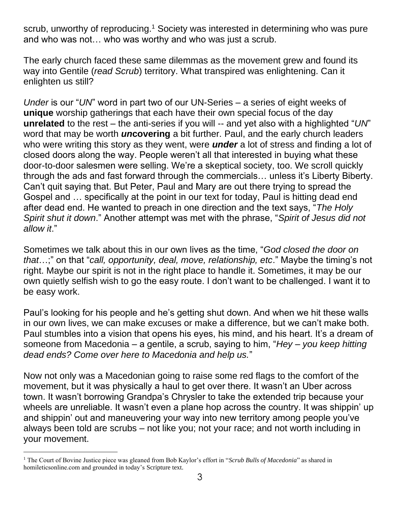scrub, unworthy of reproducing.<sup>1</sup> Society was interested in determining who was pure and who was not… who was worthy and who was just a scrub.

The early church faced these same dilemmas as the movement grew and found its way into Gentile (*read Scrub*) territory. What transpired was enlightening. Can it enlighten us still?

*Under* is our "*UN*" word in part two of our UN-Series – a series of eight weeks of **unique** worship gatherings that each have their own special focus of the day **unrelated** to the rest – the anti-series if you will -- and yet also with a highlighted "*UN*" word that may be worth *un***covering** a bit further. Paul, and the early church leaders who were writing this story as they went, were *under* a lot of stress and finding a lot of closed doors along the way. People weren't all that interested in buying what these door-to-door salesmen were selling. We're a skeptical society, too. We scroll quickly through the ads and fast forward through the commercials… unless it's Liberty Biberty. Can't quit saying that. But Peter, Paul and Mary are out there trying to spread the Gospel and … specifically at the point in our text for today, Paul is hitting dead end after dead end. He wanted to preach in one direction and the text says, "*The Holy Spirit shut it down*." Another attempt was met with the phrase, "*Spirit of Jesus did not allow it*."

Sometimes we talk about this in our own lives as the time, "*God closed the door on that*…;" on that "*call, opportunity, deal, move, relationship, etc*." Maybe the timing's not right. Maybe our spirit is not in the right place to handle it. Sometimes, it may be our own quietly selfish wish to go the easy route. I don't want to be challenged. I want it to be easy work.

Paul's looking for his people and he's getting shut down. And when we hit these walls in our own lives, we can make excuses or make a difference, but we can't make both. Paul stumbles into a vision that opens his eyes, his mind, and his heart. It's a dream of someone from Macedonia – a gentile, a scrub, saying to him, "*Hey – you keep hitting dead ends? Come over here to Macedonia and help us.*"

Now not only was a Macedonian going to raise some red flags to the comfort of the movement, but it was physically a haul to get over there. It wasn't an Uber across town. It wasn't borrowing Grandpa's Chrysler to take the extended trip because your wheels are unreliable. It wasn't even a plane hop across the country. It was shippin' up and shippin' out and maneuvering your way into new territory among people you've always been told are scrubs – not like you; not your race; and not worth including in your movement.

<sup>1</sup> The Court of Bovine Justice piece was gleaned from Bob Kaylor's effort in "*Scrub Bulls of Macedonia*" as shared in homileticsonline.com and grounded in today's Scripture text.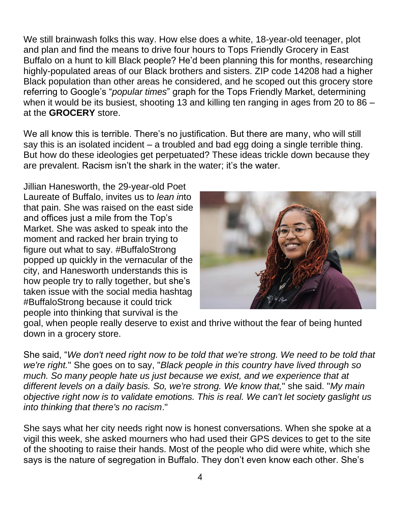We still brainwash folks this way. How else does a white, 18-year-old teenager, plot and plan and find the means to drive four hours to Tops Friendly Grocery in East Buffalo on a hunt to kill Black people? He'd been planning this for months, researching highly-populated areas of our Black brothers and sisters. ZIP code 14208 had a higher Black population than other areas he considered, and he scoped out this grocery store referring to Google's "*popular times*" graph for the Tops Friendly Market, determining when it would be its busiest, shooting 13 and killing ten ranging in ages from 20 to 86 – at the **GROCERY** store.

We all know this is terrible. There's no justification. But there are many, who will still say this is an isolated incident – a troubled and bad egg doing a single terrible thing. But how do these ideologies get perpetuated? These ideas trickle down because they are prevalent. Racism isn't the shark in the water; it's the water.

Jillian Hanesworth, the 29-year-old Poet Laureate of Buffalo, invites us to *lean in*to that pain. She was raised on the east side and offices just a mile from the Top's Market. She was asked to speak into the moment and racked her brain trying to figure out what to say. #BuffaloStrong popped up quickly in the vernacular of the city, and Hanesworth understands this is how people try to rally together, but she's taken issue with the social media hashtag #BuffaloStrong because it could trick people into thinking that survival is the



goal, when people really deserve to exist and thrive without the fear of being hunted down in a grocery store.

She said, "*We don't need right now to be told that we're strong. We need to be told that we're right.*" She goes on to say, "*Black people in this country have lived through so much. So many people hate us just because we exist, and we experience that at different levels on a daily basis. So, we're strong. We know that,*" she said. "*My main objective right now is to validate emotions. This is real. We can't let society gaslight us into thinking that there's no racism*."

She says what her city needs right now is honest conversations. When she spoke at a vigil this week, she asked mourners who had used their GPS devices to get to the site of the shooting to raise their hands. Most of the people who did were white, which she says is the nature of segregation in Buffalo. They don't even know each other. She's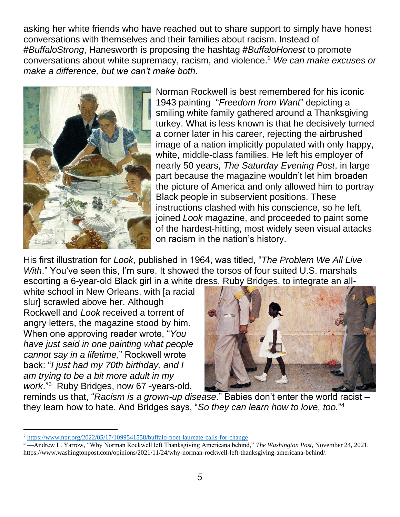asking her white friends who have reached out to share support to simply have honest conversations with themselves and their families about racism. Instead of #*BuffaloStrong*, Hanesworth is proposing the hashtag #*BuffaloHonest* to promote conversations about white supremacy, racism, and violence.<sup>2</sup> *We can make excuses or make a difference, but we can't make both*.



Norman Rockwell is best remembered for his iconic 1943 painting "*Freedom from Want*" depicting a smiling white family gathered around a Thanksgiving turkey. What is less known is that he decisively turned a corner later in his career, rejecting the airbrushed image of a nation implicitly populated with only happy, white, middle-class families. He left his employer of nearly 50 years, *The Saturday Evening Post*, in large part because the magazine wouldn't let him broaden the picture of America and only allowed him to portray Black people in subservient positions. These instructions clashed with his conscience, so he left, joined *Look* magazine, and proceeded to paint some of the hardest-hitting, most widely seen visual attacks on racism in the nation's history.

His first illustration for *Look*, published in 1964, was titled, "*The Problem We All Live With*." You've seen this, I'm sure. It showed the torsos of four suited U.S. marshals escorting a 6-year-old Black girl in a white dress, Ruby Bridges, to integrate an all-

white school in New Orleans, with [a racial slur] scrawled above her. Although Rockwell and *Look* received a torrent of angry letters, the magazine stood by him. When one approving reader wrote, "*You have just said in one painting what people cannot say in a lifetime,*" Rockwell wrote back: "*I just had my 70th birthday, and I am trying to be a bit more adult in my work*."<sup>3</sup> Ruby Bridges, now 67 -years-old,



reminds us that, "*Racism is a grown-up disease*." Babies don't enter the world racist – they learn how to hate. And Bridges says, "*So they can learn how to love, too.*" 4

<sup>2</sup> <https://www.npr.org/2022/05/17/1099541558/buffalo-poet-laureate-calls-for-change>

<sup>3</sup> —Andrew L. Yarrow, "Why Norman Rockwell left Thanksgiving Americana behind," *The Washington Post*, November 24, 2021. https://www.washingtonpost.com/opinions/2021/11/24/why-norman-rockwell-left-thanksgiving-americana-behind/.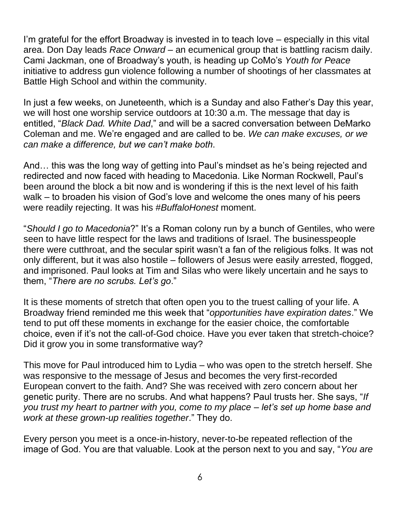I'm grateful for the effort Broadway is invested in to teach love – especially in this vital area. Don Day leads *Race Onward* – an ecumenical group that is battling racism daily. Cami Jackman, one of Broadway's youth, is heading up CoMo's *Youth for Peace* initiative to address gun violence following a number of shootings of her classmates at Battle High School and within the community.

In just a few weeks, on Juneteenth, which is a Sunday and also Father's Day this year, we will host one worship service outdoors at 10:30 a.m. The message that day is entitled, "*Black Dad. White Dad*," and will be a sacred conversation between DeMarko Coleman and me. We're engaged and are called to be. *We can make excuses, or we can make a difference, but we can't make both*.

And… this was the long way of getting into Paul's mindset as he's being rejected and redirected and now faced with heading to Macedonia. Like Norman Rockwell, Paul's been around the block a bit now and is wondering if this is the next level of his faith walk – to broaden his vision of God's love and welcome the ones many of his peers were readily rejecting. It was his #*BuffaloHonest* moment.

"*Should I go to Macedonia*?" It's a Roman colony run by a bunch of Gentiles, who were seen to have little respect for the laws and traditions of Israel. The businesspeople there were cutthroat, and the secular spirit wasn't a fan of the religious folks. It was not only different, but it was also hostile – followers of Jesus were easily arrested, flogged, and imprisoned. Paul looks at Tim and Silas who were likely uncertain and he says to them, "*There are no scrubs. Let's go*."

It is these moments of stretch that often open you to the truest calling of your life. A Broadway friend reminded me this week that "*opportunities have expiration dates*." We tend to put off these moments in exchange for the easier choice, the comfortable choice, even if it's not the call-of-God choice. Have you ever taken that stretch-choice? Did it grow you in some transformative way?

This move for Paul introduced him to Lydia – who was open to the stretch herself. She was responsive to the message of Jesus and becomes the very first-recorded European convert to the faith. And? She was received with zero concern about her genetic purity. There are no scrubs. And what happens? Paul trusts her. She says, "*If you trust my heart to partner with you, come to my place – let's set up home base and work at these grown-up realities together*." They do.

Every person you meet is a once-in-history, never-to-be repeated reflection of the image of God. You are that valuable. Look at the person next to you and say, "*You are*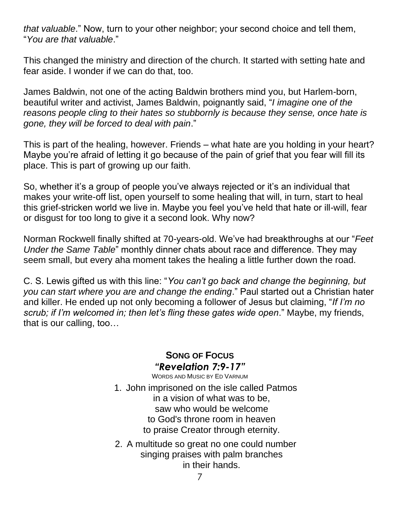*that valuable*." Now, turn to your other neighbor; your second choice and tell them, "*You are that valuable*."

This changed the ministry and direction of the church. It started with setting hate and fear aside. I wonder if we can do that, too.

James Baldwin, not one of the acting Baldwin brothers mind you, but Harlem-born, beautiful writer and activist, James Baldwin, poignantly said, "*I imagine one of the reasons people cling to their hates so stubbornly is because they sense, once hate is gone, they will be forced to deal with pain*."

This is part of the healing, however. Friends – what hate are you holding in your heart? Maybe you're afraid of letting it go because of the pain of grief that you fear will fill its place. This is part of growing up our faith.

So, whether it's a group of people you've always rejected or it's an individual that makes your write-off list, open yourself to some healing that will, in turn, start to heal this grief-stricken world we live in. Maybe you feel you've held that hate or ill-will, fear or disgust for too long to give it a second look. Why now?

Norman Rockwell finally shifted at 70-years-old. We've had breakthroughs at our "*Feet Under the Same Table*" monthly dinner chats about race and difference. They may seem small, but every aha moment takes the healing a little further down the road.

C. S. Lewis gifted us with this line: "*You can't go back and change the beginning, but you can start where you are and change the ending*." Paul started out a Christian hater and killer. He ended up not only becoming a follower of Jesus but claiming, "*If I'm no scrub; if I'm welcomed in; then let's fling these gates wide open*." Maybe, my friends, that is our calling, too…

## **SONG OF FOCUS** *"Revelation 7:9-17"*

- WORDS AND MUSIC BY ED VARNUM 1. John imprisoned on the isle called Patmos in a vision of what was to be, saw who would be welcome to God's throne room in heaven to praise Creator through eternity.
- 2. A multitude so great no one could number singing praises with palm branches in their hands.